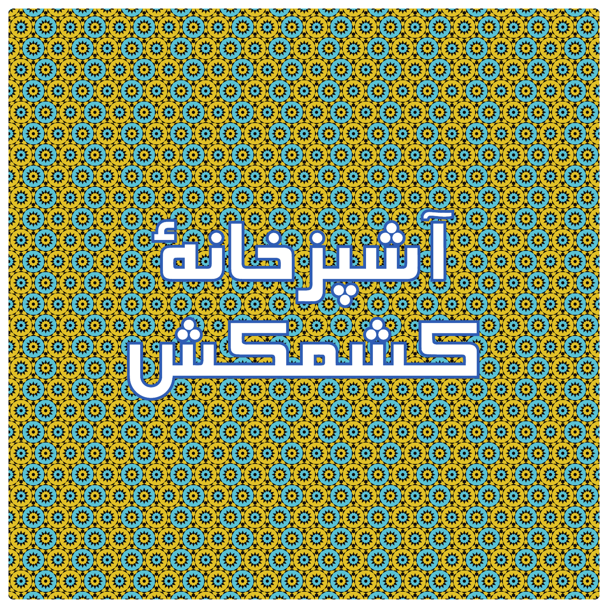